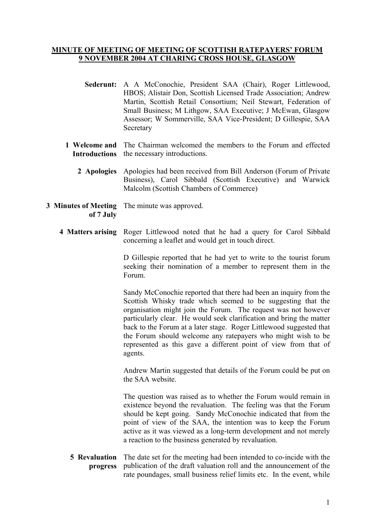## **MINUTE OF MEETING OF MEETING OF SCOTTISH RATEPAYERS' FORUM 9 NOVEMBER 2004 AT CHARING CROSS HOUSE, GLASGOW**

- **Sederunt:** A A McConochie, President SAA (Chair), Roger Littlewood, HBOS; Alistair Don, Scottish Licensed Trade Association; Andrew Martin, Scottish Retail Consortium; Neil Stewart, Federation of Small Business; M Lithgow, SAA Executive; J McEwan, Glasgow Assessor; W Sommerville, SAA Vice-President; D Gillespie, SAA **Secretary**
- **1 Welcome and**  The Chairman welcomed the members to the Forum and effected **Introductions**  the necessary introductions.
	- **2 Apologies** Apologies had been received from Bill Anderson (Forum of Private Business), Carol Sibbald (Scottish Executive) and Warwick Malcolm (Scottish Chambers of Commerce)
- **3 Minutes of Meeting**  The minute was approved. **of 7 July** 
	- **4 Matters arising** Roger Littlewood noted that he had a query for Carol Sibbald concerning a leaflet and would get in touch direct.

D Gillespie reported that he had yet to write to the tourist forum seeking their nomination of a member to represent them in the Forum.

Sandy McConochie reported that there had been an inquiry from the Scottish Whisky trade which seemed to be suggesting that the organisation might join the Forum. The request was not however particularly clear. He would seek clarification and bring the matter back to the Forum at a later stage. Roger Littlewood suggested that the Forum should welcome any ratepayers who might wish to be represented as this gave a different point of view from that of agents.

Andrew Martin suggested that details of the Forum could be put on the SAA website.

The question was raised as to whether the Forum would remain in existence beyond the revaluation. The feeling was that the Forum should be kept going. Sandy McConochie indicated that from the point of view of the SAA, the intention was to keep the Forum active as it was viewed as a long-term development and not merely a reaction to the business generated by revaluation.

**5 Revaluation**  The date set for the meeting had been intended to co-incide with the **progress**  publication of the draft valuation roll and the announcement of the rate poundages, small business relief limits etc. In the event, while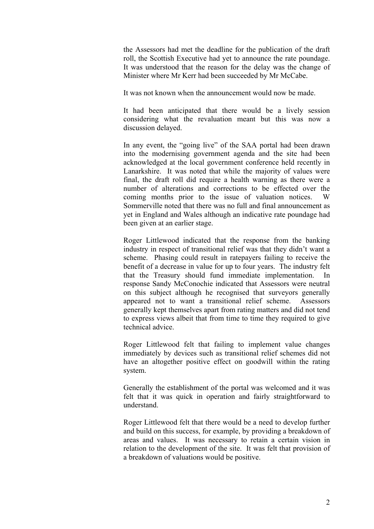the Assessors had met the deadline for the publication of the draft roll, the Scottish Executive had yet to announce the rate poundage. It was understood that the reason for the delay was the change of Minister where Mr Kerr had been succeeded by Mr McCabe.

It was not known when the announcement would now be made.

It had been anticipated that there would be a lively session considering what the revaluation meant but this was now a discussion delayed.

In any event, the "going live" of the SAA portal had been drawn into the modernising government agenda and the site had been acknowledged at the local government conference held recently in Lanarkshire. It was noted that while the majority of values were final, the draft roll did require a health warning as there were a number of alterations and corrections to be effected over the coming months prior to the issue of valuation notices. W Sommerville noted that there was no full and final announcement as yet in England and Wales although an indicative rate poundage had been given at an earlier stage.

Roger Littlewood indicated that the response from the banking industry in respect of transitional relief was that they didn't want a scheme. Phasing could result in ratepayers failing to receive the benefit of a decrease in value for up to four years. The industry felt that the Treasury should fund immediate implementation. In response Sandy McConochie indicated that Assessors were neutral on this subject although he recognised that surveyors generally appeared not to want a transitional relief scheme. Assessors generally kept themselves apart from rating matters and did not tend to express views albeit that from time to time they required to give technical advice.

Roger Littlewood felt that failing to implement value changes immediately by devices such as transitional relief schemes did not have an altogether positive effect on goodwill within the rating system.

Generally the establishment of the portal was welcomed and it was felt that it was quick in operation and fairly straightforward to understand.

Roger Littlewood felt that there would be a need to develop further and build on this success, for example, by providing a breakdown of areas and values. It was necessary to retain a certain vision in relation to the development of the site. It was felt that provision of a breakdown of valuations would be positive.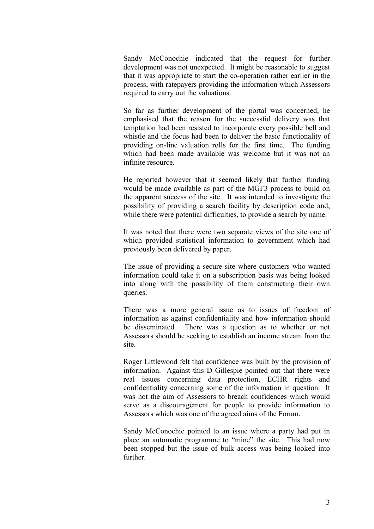Sandy McConochie indicated that the request for further development was not unexpected. It might be reasonable to suggest that it was appropriate to start the co-operation rather earlier in the process, with ratepayers providing the information which Assessors required to carry out the valuations.

So far as further development of the portal was concerned, he emphasised that the reason for the successful delivery was that temptation had been resisted to incorporate every possible bell and whistle and the focus had been to deliver the basic functionality of providing on-line valuation rolls for the first time. The funding which had been made available was welcome but it was not an infinite resource.

He reported however that it seemed likely that further funding would be made available as part of the MGF3 process to build on the apparent success of the site. It was intended to investigate the possibility of providing a search facility by description code and, while there were potential difficulties, to provide a search by name.

It was noted that there were two separate views of the site one of which provided statistical information to government which had previously been delivered by paper.

The issue of providing a secure site where customers who wanted information could take it on a subscription basis was being looked into along with the possibility of them constructing their own queries.

There was a more general issue as to issues of freedom of information as against confidentiality and how information should be disseminated. There was a question as to whether or not Assessors should be seeking to establish an income stream from the site.

Roger Littlewood felt that confidence was built by the provision of information. Against this D Gillespie pointed out that there were real issues concerning data protection, ECHR rights and confidentiality concerning some of the information in question. It was not the aim of Assessors to breach confidences which would serve as a discouragement for people to provide information to Assessors which was one of the agreed aims of the Forum.

Sandy McConochie pointed to an issue where a party had put in place an automatic programme to "mine" the site. This had now been stopped but the issue of bulk access was being looked into **further**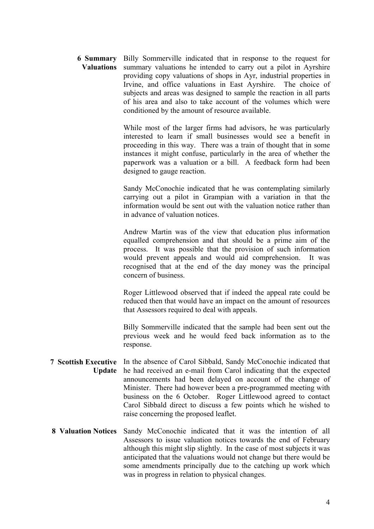| <b>6 Summary</b> Billy Sommerville indicated that in response to the request for  |
|-----------------------------------------------------------------------------------|
| <b>Valuations</b> summary valuations he intended to carry out a pilot in Ayrshire |
| providing copy valuations of shops in Ayr, industrial properties in               |
| Irvine, and office valuations in East Ayrshire. The choice of                     |
| subjects and areas was designed to sample the reaction in all parts               |
| of his area and also to take account of the volumes which were                    |
| conditioned by the amount of resource available.                                  |

While most of the larger firms had advisors, he was particularly interested to learn if small businesses would see a benefit in proceeding in this way. There was a train of thought that in some instances it might confuse, particularly in the area of whether the paperwork was a valuation or a bill. A feedback form had been designed to gauge reaction.

Sandy McConochie indicated that he was contemplating similarly carrying out a pilot in Grampian with a variation in that the information would be sent out with the valuation notice rather than in advance of valuation notices.

Andrew Martin was of the view that education plus information equalled comprehension and that should be a prime aim of the process. It was possible that the provision of such information would prevent appeals and would aid comprehension. It was recognised that at the end of the day money was the principal concern of business.

Roger Littlewood observed that if indeed the appeal rate could be reduced then that would have an impact on the amount of resources that Assessors required to deal with appeals.

Billy Sommerville indicated that the sample had been sent out the previous week and he would feed back information as to the response.

- **7 Scottish Executive**  In the absence of Carol Sibbald, Sandy McConochie indicated that **Update**  he had received an e-mail from Carol indicating that the expected announcements had been delayed on account of the change of Minister. There had however been a pre-programmed meeting with business on the 6 October. Roger Littlewood agreed to contact Carol Sibbald direct to discuss a few points which he wished to raise concerning the proposed leaflet.
- **8 Valuation Notices** Sandy McConochie indicated that it was the intention of all Assessors to issue valuation notices towards the end of February although this might slip slightly. In the case of most subjects it was anticipated that the valuations would not change but there would be some amendments principally due to the catching up work which was in progress in relation to physical changes.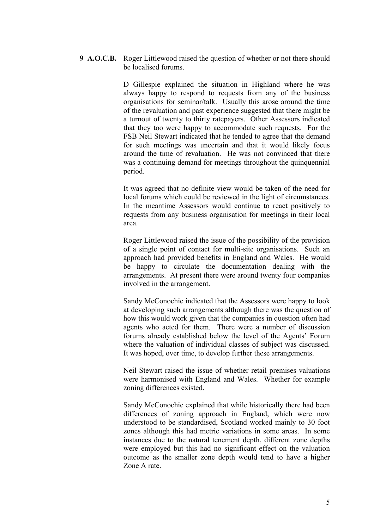**9 A.O.C.B.** Roger Littlewood raised the question of whether or not there should be localised forums.

> D Gillespie explained the situation in Highland where he was always happy to respond to requests from any of the business organisations for seminar/talk. Usually this arose around the time of the revaluation and past experience suggested that there might be a turnout of twenty to thirty ratepayers. Other Assessors indicated that they too were happy to accommodate such requests. For the FSB Neil Stewart indicated that he tended to agree that the demand for such meetings was uncertain and that it would likely focus around the time of revaluation. He was not convinced that there was a continuing demand for meetings throughout the quinquennial period.

> It was agreed that no definite view would be taken of the need for local forums which could be reviewed in the light of circumstances. In the meantime Assessors would continue to react positively to requests from any business organisation for meetings in their local area.

> Roger Littlewood raised the issue of the possibility of the provision of a single point of contact for multi-site organisations. Such an approach had provided benefits in England and Wales. He would be happy to circulate the documentation dealing with the arrangements. At present there were around twenty four companies involved in the arrangement.

> Sandy McConochie indicated that the Assessors were happy to look at developing such arrangements although there was the question of how this would work given that the companies in question often had agents who acted for them. There were a number of discussion forums already established below the level of the Agents' Forum where the valuation of individual classes of subject was discussed. It was hoped, over time, to develop further these arrangements.

> Neil Stewart raised the issue of whether retail premises valuations were harmonised with England and Wales. Whether for example zoning differences existed.

> Sandy McConochie explained that while historically there had been differences of zoning approach in England, which were now understood to be standardised, Scotland worked mainly to 30 foot zones although this had metric variations in some areas. In some instances due to the natural tenement depth, different zone depths were employed but this had no significant effect on the valuation outcome as the smaller zone depth would tend to have a higher Zone A rate.